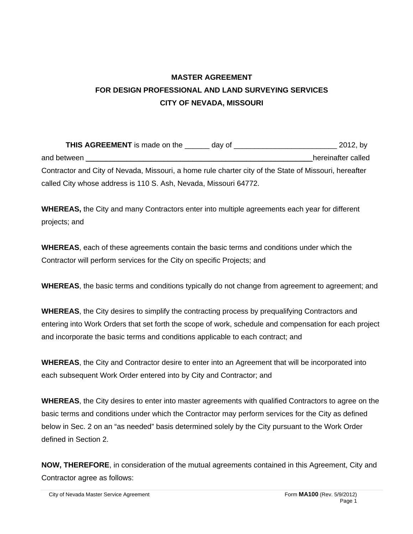# **MASTER AGREEMENT FOR DESIGN PROFESSIONAL AND LAND SURVEYING SERVICES CITY OF NEVADA, MISSOURI**

**THIS AGREEMENT** is made on the \_\_\_\_\_\_ day of \_\_\_\_\_\_\_\_\_\_\_\_\_\_\_\_\_\_\_\_\_\_\_\_\_ 2012, by and between *and between and between numbers numbers numbers numbers numbers numbers numbers numbers numbers numbers numbers numbers numbers numbers numbers* Contractor and City of Nevada, Missouri, a home rule charter city of the State of Missouri, hereafter called City whose address is 110 S. Ash, Nevada, Missouri 64772.

**WHEREAS,** the City and many Contractors enter into multiple agreements each year for different projects; and

**WHEREAS**, each of these agreements contain the basic terms and conditions under which the Contractor will perform services for the City on specific Projects; and

WHEREAS, the basic terms and conditions typically do not change from agreement to agreement; and

**WHEREAS**, the City desires to simplify the contracting process by prequalifying Contractors and entering into Work Orders that set forth the scope of work, schedule and compensation for each project and incorporate the basic terms and conditions applicable to each contract; and

**WHEREAS**, the City and Contractor desire to enter into an Agreement that will be incorporated into each subsequent Work Order entered into by City and Contractor; and

**WHEREAS**, the City desires to enter into master agreements with qualified Contractors to agree on the basic terms and conditions under which the Contractor may perform services for the City as defined below in Sec. 2 on an "as needed" basis determined solely by the City pursuant to the Work Order defined in Section 2.

**NOW, THEREFORE**, in consideration of the mutual agreements contained in this Agreement, City and Contractor agree as follows:

City of Nevada Master Service Agreement Form **MA100** (Rev. 5/9/2012)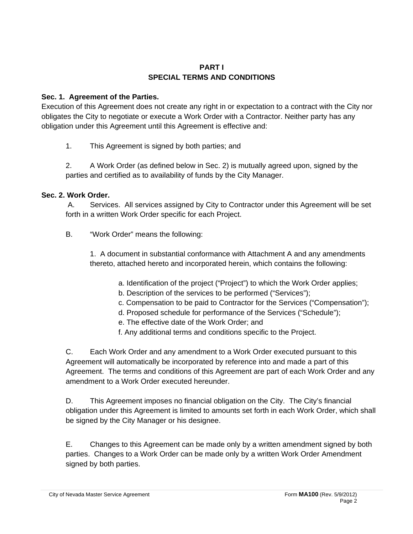## **PART I SPECIAL TERMS AND CONDITIONS**

#### **Sec. 1. Agreement of the Parties.**

Execution of this Agreement does not create any right in or expectation to a contract with the City nor obligates the City to negotiate or execute a Work Order with a Contractor. Neither party has any obligation under this Agreement until this Agreement is effective and:

1. This Agreement is signed by both parties; and

2. A Work Order (as defined below in Sec. 2) is mutually agreed upon, signed by the parties and certified as to availability of funds by the City Manager.

#### **Sec. 2. Work Order.**

 A. Services. All services assigned by City to Contractor under this Agreement will be set forth in a written Work Order specific for each Project.

B. "Work Order" means the following:

1. A document in substantial conformance with Attachment A and any amendments thereto, attached hereto and incorporated herein, which contains the following:

- a. Identification of the project ("Project") to which the Work Order applies;
- b. Description of the services to be performed ("Services");
- c. Compensation to be paid to Contractor for the Services ("Compensation");
- d. Proposed schedule for performance of the Services ("Schedule");
- e. The effective date of the Work Order; and
- f. Any additional terms and conditions specific to the Project.

C. Each Work Order and any amendment to a Work Order executed pursuant to this Agreement will automatically be incorporated by reference into and made a part of this Agreement. The terms and conditions of this Agreement are part of each Work Order and any amendment to a Work Order executed hereunder.

D. This Agreement imposes no financial obligation on the City. The City's financial obligation under this Agreement is limited to amounts set forth in each Work Order, which shall be signed by the City Manager or his designee.

E. Changes to this Agreement can be made only by a written amendment signed by both parties. Changes to a Work Order can be made only by a written Work Order Amendment signed by both parties.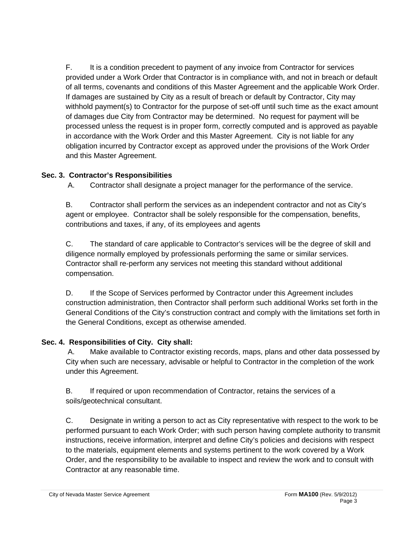F. It is a condition precedent to payment of any invoice from Contractor for services provided under a Work Order that Contractor is in compliance with, and not in breach or default of all terms, covenants and conditions of this Master Agreement and the applicable Work Order. If damages are sustained by City as a result of breach or default by Contractor, City may withhold payment(s) to Contractor for the purpose of set-off until such time as the exact amount of damages due City from Contractor may be determined. No request for payment will be processed unless the request is in proper form, correctly computed and is approved as payable in accordance with the Work Order and this Master Agreement. City is not liable for any obligation incurred by Contractor except as approved under the provisions of the Work Order and this Master Agreement.

## **Sec. 3. Contractor's Responsibilities**

A. Contractor shall designate a project manager for the performance of the service.

B. Contractor shall perform the services as an independent contractor and not as City's agent or employee. Contractor shall be solely responsible for the compensation, benefits, contributions and taxes, if any, of its employees and agents

C. The standard of care applicable to Contractor's services will be the degree of skill and diligence normally employed by professionals performing the same or similar services. Contractor shall re-perform any services not meeting this standard without additional compensation.

D. If the Scope of Services performed by Contractor under this Agreement includes construction administration, then Contractor shall perform such additional Works set forth in the General Conditions of the City's construction contract and comply with the limitations set forth in the General Conditions, except as otherwise amended.

## **Sec. 4. Responsibilities of City. City shall:**

 A. Make available to Contractor existing records, maps, plans and other data possessed by City when such are necessary, advisable or helpful to Contractor in the completion of the work under this Agreement.

B. If required or upon recommendation of Contractor, retains the services of a soils/geotechnical consultant.

C. Designate in writing a person to act as City representative with respect to the work to be performed pursuant to each Work Order; with such person having complete authority to transmit instructions, receive information, interpret and define City's policies and decisions with respect to the materials, equipment elements and systems pertinent to the work covered by a Work Order, and the responsibility to be available to inspect and review the work and to consult with Contractor at any reasonable time.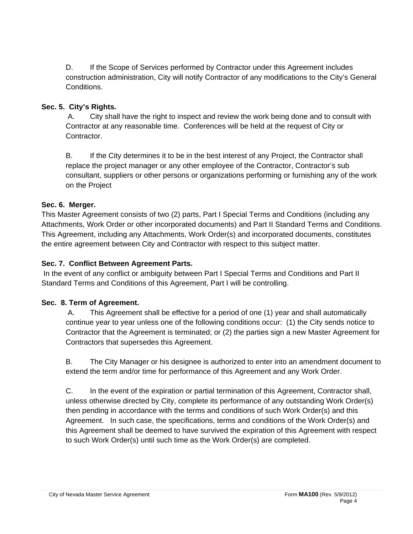D. If the Scope of Services performed by Contractor under this Agreement includes construction administration, City will notify Contractor of any modifications to the City's General Conditions.

## **Sec. 5. City's Rights.**

 A. City shall have the right to inspect and review the work being done and to consult with Contractor at any reasonable time. Conferences will be held at the request of City or Contractor.

B. If the City determines it to be in the best interest of any Project, the Contractor shall replace the project manager or any other employee of the Contractor, Contractor's sub consultant, suppliers or other persons or organizations performing or furnishing any of the work on the Project

## **Sec. 6. Merger.**

This Master Agreement consists of two (2) parts, Part I Special Terms and Conditions (including any Attachments, Work Order or other incorporated documents) and Part II Standard Terms and Conditions. This Agreement, including any Attachments, Work Order(s) and incorporated documents, constitutes the entire agreement between City and Contractor with respect to this subject matter.

## **Sec. 7. Conflict Between Agreement Parts.**

In the event of any conflict or ambiguity between Part I Special Terms and Conditions and Part II Standard Terms and Conditions of this Agreement, Part I will be controlling.

### **Sec. 8. Term of Agreement.**

 A. This Agreement shall be effective for a period of one (1) year and shall automatically continue year to year unless one of the following conditions occur: (1) the City sends notice to Contractor that the Agreement is terminated; or (2) the parties sign a new Master Agreement for Contractors that supersedes this Agreement.

B. The City Manager or his designee is authorized to enter into an amendment document to extend the term and/or time for performance of this Agreement and any Work Order.

C. In the event of the expiration or partial termination of this Agreement, Contractor shall, unless otherwise directed by City, complete its performance of any outstanding Work Order(s) then pending in accordance with the terms and conditions of such Work Order(s) and this Agreement. In such case, the specifications, terms and conditions of the Work Order(s) and this Agreement shall be deemed to have survived the expiration of this Agreement with respect to such Work Order(s) until such time as the Work Order(s) are completed.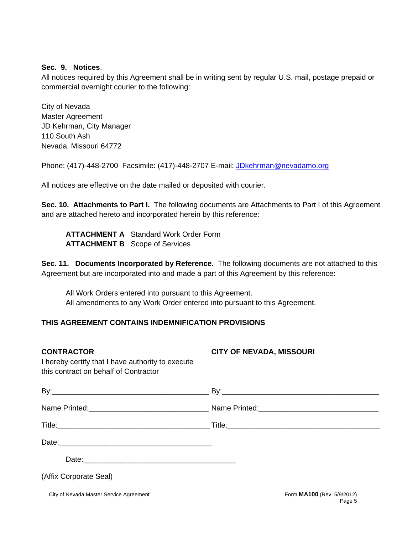#### **Sec. 9. Notices**.

All notices required by this Agreement shall be in writing sent by regular U.S. mail, postage prepaid or commercial overnight courier to the following:

City of Nevada Master Agreement JD Kehrman, City Manager 110 South Ash Nevada, Missouri 64772

Phone: (417)-448-2700 Facsimile: (417)-448-2707 E-mail: JDkehrman@nevadamo.org

All notices are effective on the date mailed or deposited with courier.

**Sec. 10. Attachments to Part I.** The following documents are Attachments to Part I of this Agreement and are attached hereto and incorporated herein by this reference:

**ATTACHMENT A** Standard Work Order Form **ATTACHMENT B** Scope of Services

**Sec. 11. Documents Incorporated by Reference.** The following documents are not attached to this Agreement but are incorporated into and made a part of this Agreement by this reference:

All Work Orders entered into pursuant to this Agreement. All amendments to any Work Order entered into pursuant to this Agreement.

### **THIS AGREEMENT CONTAINS INDEMNIFICATION PROVISIONS**

**CONTRACTOR CITY OF NEVADA, MISSOURI**

I hereby certify that I have authority to execute this contract on behalf of Contractor

| (Affix Corporate Seal) |  |
|------------------------|--|

City of Nevada Master Service Agreement Form **MA100** (Rev. 5/9/2012)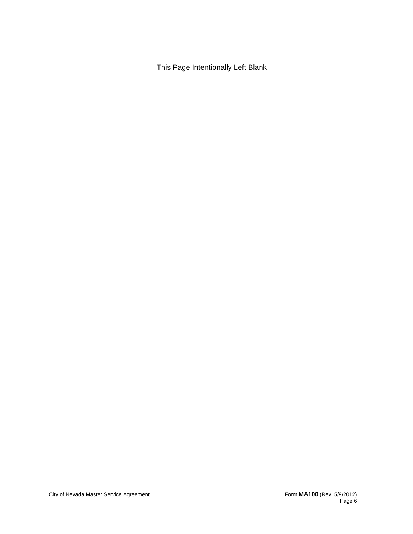This Page Intentionally Left Blank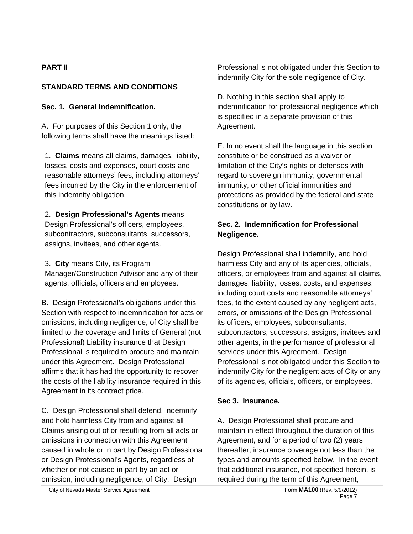#### **PART II**

#### **STANDARD TERMS AND CONDITIONS**

#### **Sec. 1. General Indemnification.**

A. For purposes of this Section 1 only, the following terms shall have the meanings listed:

1. **Claims** means all claims, damages, liability, losses, costs and expenses, court costs and reasonable attorneys' fees, including attorneys' fees incurred by the City in the enforcement of this indemnity obligation.

2. **Design Professional's Agents** means Design Professional's officers, employees, subcontractors, subconsultants, successors, assigns, invitees, and other agents.

3. **City** means City, its Program Manager/Construction Advisor and any of their agents, officials, officers and employees.

B. Design Professional's obligations under this Section with respect to indemnification for acts or omissions, including negligence, of City shall be limited to the coverage and limits of General (not Professional) Liability insurance that Design Professional is required to procure and maintain under this Agreement. Design Professional affirms that it has had the opportunity to recover the costs of the liability insurance required in this Agreement in its contract price.

C. Design Professional shall defend, indemnify and hold harmless City from and against all Claims arising out of or resulting from all acts or omissions in connection with this Agreement caused in whole or in part by Design Professional or Design Professional's Agents, regardless of whether or not caused in part by an act or omission, including negligence, of City. Design

Professional is not obligated under this Section to indemnify City for the sole negligence of City.

D. Nothing in this section shall apply to indemnification for professional negligence which is specified in a separate provision of this Agreement.

E. In no event shall the language in this section constitute or be construed as a waiver or limitation of the City's rights or defenses with regard to sovereign immunity, governmental immunity, or other official immunities and protections as provided by the federal and state constitutions or by law.

## **Sec. 2. Indemnification for Professional Negligence.**

Design Professional shall indemnify, and hold harmless City and any of its agencies, officials, officers, or employees from and against all claims, damages, liability, losses, costs, and expenses, including court costs and reasonable attorneys' fees, to the extent caused by any negligent acts, errors, or omissions of the Design Professional, its officers, employees, subconsultants, subcontractors, successors, assigns, invitees and other agents, in the performance of professional services under this Agreement. Design Professional is not obligated under this Section to indemnify City for the negligent acts of City or any of its agencies, officials, officers, or employees.

### **Sec 3. Insurance.**

A. Design Professional shall procure and maintain in effect throughout the duration of this Agreement, and for a period of two (2) years thereafter, insurance coverage not less than the types and amounts specified below. In the event that additional insurance, not specified herein, is required during the term of this Agreement,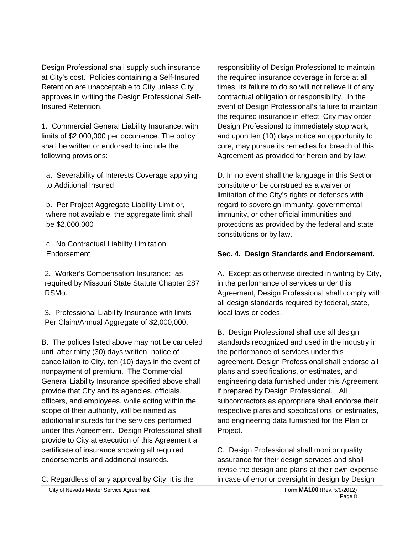Design Professional shall supply such insurance at City's cost. Policies containing a Self-Insured Retention are unacceptable to City unless City approves in writing the Design Professional Self-Insured Retention.

1. Commercial General Liability Insurance: with limits of \$2,000,000 per occurrence. The policy shall be written or endorsed to include the following provisions:

a. Severability of Interests Coverage applying to Additional Insured

b. Per Project Aggregate Liability Limit or, where not available, the aggregate limit shall be \$2,000,000

c. No Contractual Liability Limitation Endorsement

2. Worker's Compensation Insurance: as required by Missouri State Statute Chapter 287 RSMo.

3. Professional Liability Insurance with limits Per Claim/Annual Aggregate of \$2,000,000.

B. The polices listed above may not be canceled until after thirty (30) days written notice of cancellation to City, ten (10) days in the event of nonpayment of premium. The Commercial General Liability Insurance specified above shall provide that City and its agencies, officials, officers, and employees, while acting within the scope of their authority, will be named as additional insureds for the services performed under this Agreement. Design Professional shall provide to City at execution of this Agreement a certificate of insurance showing all required endorsements and additional insureds.

C. Regardless of any approval by City, it is the

responsibility of Design Professional to maintain the required insurance coverage in force at all times; its failure to do so will not relieve it of any contractual obligation or responsibility. In the event of Design Professional's failure to maintain the required insurance in effect, City may order Design Professional to immediately stop work, and upon ten (10) days notice an opportunity to cure, may pursue its remedies for breach of this Agreement as provided for herein and by law.

D. In no event shall the language in this Section constitute or be construed as a waiver or limitation of the City's rights or defenses with regard to sovereign immunity, governmental immunity, or other official immunities and protections as provided by the federal and state constitutions or by law.

### **Sec. 4. Design Standards and Endorsement.**

A. Except as otherwise directed in writing by City, in the performance of services under this Agreement, Design Professional shall comply with all design standards required by federal, state, local laws or codes.

B. Design Professional shall use all design standards recognized and used in the industry in the performance of services under this agreement. Design Professional shall endorse all plans and specifications, or estimates, and engineering data furnished under this Agreement if prepared by Design Professional. All subcontractors as appropriate shall endorse their respective plans and specifications, or estimates, and engineering data furnished for the Plan or Project.

C. Design Professional shall monitor quality assurance for their design services and shall revise the design and plans at their own expense in case of error or oversight in design by Design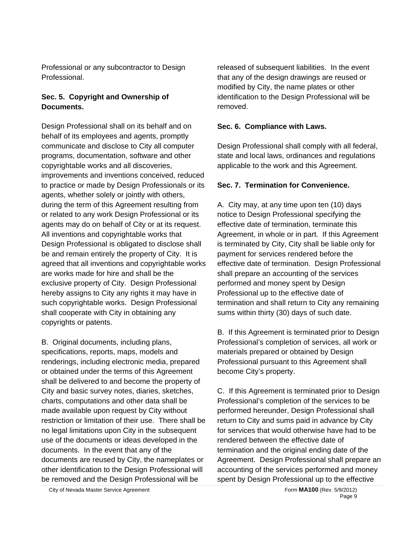Professional or any subcontractor to Design Professional.

### **Sec. 5. Copyright and Ownership of Documents.**

Design Professional shall on its behalf and on behalf of its employees and agents, promptly communicate and disclose to City all computer programs, documentation, software and other copyrightable works and all discoveries, improvements and inventions conceived, reduced to practice or made by Design Professionals or its agents, whether solely or jointly with others, during the term of this Agreement resulting from or related to any work Design Professional or its agents may do on behalf of City or at its request. All inventions and copyrightable works that Design Professional is obligated to disclose shall be and remain entirely the property of City. It is agreed that all inventions and copyrightable works are works made for hire and shall be the exclusive property of City. Design Professional hereby assigns to City any rights it may have in such copyrightable works. Design Professional shall cooperate with City in obtaining any copyrights or patents.

B. Original documents, including plans, specifications, reports, maps, models and renderings, including electronic media, prepared or obtained under the terms of this Agreement shall be delivered to and become the property of City and basic survey notes, diaries, sketches, charts, computations and other data shall be made available upon request by City without restriction or limitation of their use. There shall be no legal limitations upon City in the subsequent use of the documents or ideas developed in the documents. In the event that any of the documents are reused by City, the nameplates or other identification to the Design Professional will be removed and the Design Professional will be

released of subsequent liabilities. In the event that any of the design drawings are reused or modified by City, the name plates or other identification to the Design Professional will be removed.

#### **Sec. 6. Compliance with Laws.**

Design Professional shall comply with all federal, state and local laws, ordinances and regulations applicable to the work and this Agreement.

#### **Sec. 7. Termination for Convenience.**

A. City may, at any time upon ten (10) days notice to Design Professional specifying the effective date of termination, terminate this Agreement, in whole or in part. If this Agreement is terminated by City, City shall be liable only for payment for services rendered before the effective date of termination. Design Professional shall prepare an accounting of the services performed and money spent by Design Professional up to the effective date of termination and shall return to City any remaining sums within thirty (30) days of such date.

B. If this Agreement is terminated prior to Design Professional's completion of services, all work or materials prepared or obtained by Design Professional pursuant to this Agreement shall become City's property.

C. If this Agreement is terminated prior to Design Professional's completion of the services to be performed hereunder, Design Professional shall return to City and sums paid in advance by City for services that would otherwise have had to be rendered between the effective date of termination and the original ending date of the Agreement. Design Professional shall prepare an accounting of the services performed and money spent by Design Professional up to the effective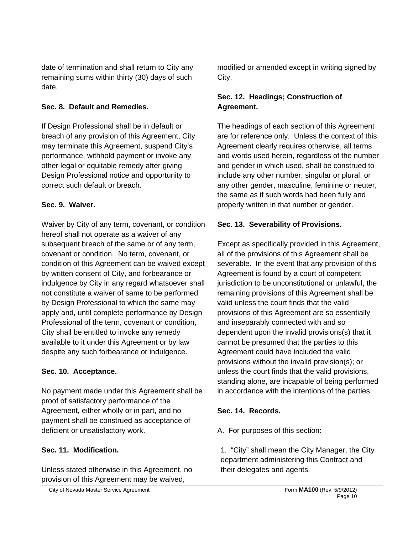date of termination and shall return to City any remaining sums within thirty (30) days of such date.

## **Sec. 8. Default and Remedies.**

If Design Professional shall be in default or breach of any provision of this Agreement, City may terminate this Agreement, suspend City's performance, withhold payment or invoke any other legal or equitable remedy after giving Design Professional notice and opportunity to correct such default or breach.

## **Sec. 9. Waiver.**

Waiver by City of any term, covenant, or condition hereof shall not operate as a waiver of any subsequent breach of the same or of any term, covenant or condition. No term, covenant, or condition of this Agreement can be waived except by written consent of City, and forbearance or indulgence by City in any regard whatsoever shall not constitute a waiver of same to be performed by Design Professional to which the same may apply and, until complete performance by Design Professional of the term, covenant or condition, City shall be entitled to invoke any remedy available to it under this Agreement or by law despite any such forbearance or indulgence.

## **Sec. 10. Acceptance.**

No payment made under this Agreement shall be proof of satisfactory performance of the Agreement, either wholly or in part, and no payment shall be construed as acceptance of deficient or unsatisfactory work.

## **Sec. 11. Modification.**

Unless stated otherwise in this Agreement, no provision of this Agreement may be waived,

modified or amended except in writing signed by City.

## **Sec. 12. Headings; Construction of Agreement.**

The headings of each section of this Agreement are for reference only. Unless the context of this Agreement clearly requires otherwise, all terms and words used herein, regardless of the number and gender in which used, shall be construed to include any other number, singular or plural, or any other gender, masculine, feminine or neuter, the same as if such words had been fully and properly written in that number or gender.

## **Sec. 13. Severability of Provisions.**

Except as specifically provided in this Agreement, all of the provisions of this Agreement shall be severable. In the event that any provision of this Agreement is found by a court of competent jurisdiction to be unconstitutional or unlawful, the remaining provisions of this Agreement shall be valid unless the court finds that the valid provisions of this Agreement are so essentially and inseparably connected with and so dependent upon the invalid provisions(s) that it cannot be presumed that the parties to this Agreement could have included the valid provisions without the invalid provision(s); or unless the court finds that the valid provisions, standing alone, are incapable of being performed in accordance with the intentions of the parties.

## **Sec. 14. Records.**

A. For purposes of this section:

1. "City" shall mean the City Manager, the City department administering this Contract and their delegates and agents.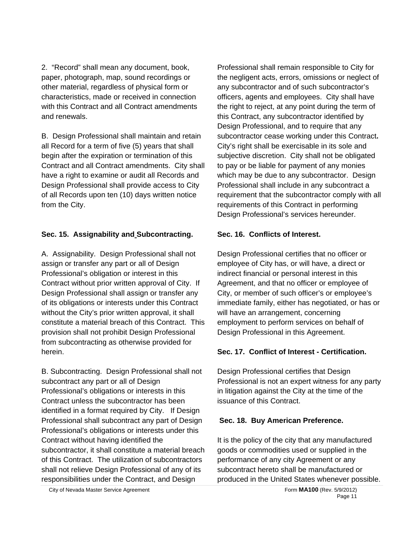2. "Record" shall mean any document, book, paper, photograph, map, sound recordings or other material, regardless of physical form or characteristics, made or received in connection with this Contract and all Contract amendments and renewals.

B. Design Professional shall maintain and retain all Record for a term of five (5) years that shall begin after the expiration or termination of this Contract and all Contract amendments. City shall have a right to examine or audit all Records and Design Professional shall provide access to City of all Records upon ten (10) days written notice from the City.

## **Sec. 15. Assignability and Subcontracting.**

A. Assignability. Design Professional shall not assign or transfer any part or all of Design Professional's obligation or interest in this Contract without prior written approval of City. If Design Professional shall assign or transfer any of its obligations or interests under this Contract without the City's prior written approval, it shall constitute a material breach of this Contract. This provision shall not prohibit Design Professional from subcontracting as otherwise provided for herein.

B. Subcontracting. Design Professional shall not subcontract any part or all of Design Professional's obligations or interests in this Contract unless the subcontractor has been identified in a format required by City. If Design Professional shall subcontract any part of Design Professional's obligations or interests under this Contract without having identified the subcontractor, it shall constitute a material breach of this Contract. The utilization of subcontractors shall not relieve Design Professional of any of its responsibilities under the Contract, and Design

Professional shall remain responsible to City for the negligent acts, errors, omissions or neglect of any subcontractor and of such subcontractor's officers, agents and employees. City shall have the right to reject, at any point during the term of this Contract, any subcontractor identified by Design Professional, and to require that any subcontractor cease working under this Contract**.** City's right shall be exercisable in its sole and subjective discretion. City shall not be obligated to pay or be liable for payment of any monies which may be due to any subcontractor. Design Professional shall include in any subcontract a requirement that the subcontractor comply with all requirements of this Contract in performing Design Professional's services hereunder.

## **Sec. 16. Conflicts of Interest.**

Design Professional certifies that no officer or employee of City has, or will have, a direct or indirect financial or personal interest in this Agreement, and that no officer or employee of City, or member of such officer's or employee's immediate family, either has negotiated, or has or will have an arrangement, concerning employment to perform services on behalf of Design Professional in this Agreement.

## **Sec. 17. Conflict of Interest - Certification.**

Design Professional certifies that Design Professional is not an expert witness for any party in litigation against the City at the time of the issuance of this Contract.

### **Sec. 18. Buy American Preference.**

It is the policy of the city that any manufactured goods or commodities used or supplied in the performance of any city Agreement or any subcontract hereto shall be manufactured or produced in the United States whenever possible.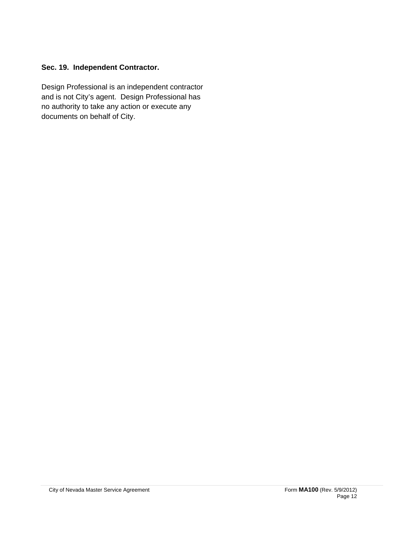## **Sec. 19. Independent Contractor.**

Design Professional is an independent contractor and is not City's agent. Design Professional has no authority to take any action or execute any documents on behalf of City.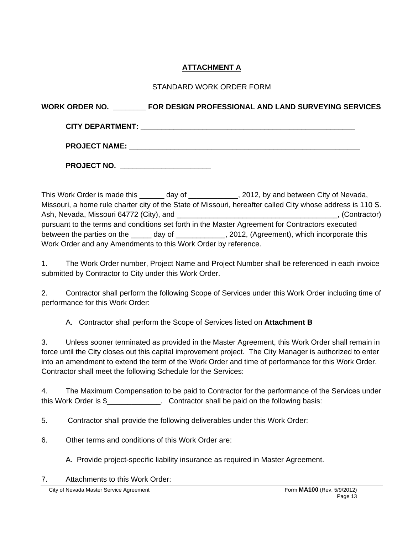## **ATTACHMENT A**

## STANDARD WORK ORDER FORM

|                      | WORK ORDER NO. FOR DESIGN PROFESSIONAL AND LAND SURVEYING SERVICES |
|----------------------|--------------------------------------------------------------------|
|                      |                                                                    |
| <b>PROJECT NAME:</b> |                                                                    |
| <b>PROJECT NO.</b>   | <u> 1980 - John Stein, Amerikaansk politiker (</u>                 |

This Work Order is made this \_\_\_\_\_\_ day of \_\_\_\_\_\_\_\_\_\_\_, 2012, by and between City of Nevada, Missouri, a home rule charter city of the State of Missouri, hereafter called City whose address is 110 S. Ash, Nevada, Missouri 64772 (City), and \_\_\_\_\_\_\_\_\_\_\_\_\_\_\_\_\_\_\_\_\_\_\_\_\_\_\_\_\_\_\_\_\_\_\_\_\_\_\_, (Contractor) pursuant to the terms and conditions set forth in the Master Agreement for Contractors executed between the parties on the day of  $\qquad \qquad$ , 2012, (Agreement), which incorporate this Work Order and any Amendments to this Work Order by reference.

1. The Work Order number, Project Name and Project Number shall be referenced in each invoice submitted by Contractor to City under this Work Order.

2. Contractor shall perform the following Scope of Services under this Work Order including time of performance for this Work Order:

A. Contractor shall perform the Scope of Services listed on **Attachment B**

3. Unless sooner terminated as provided in the Master Agreement, this Work Order shall remain in force until the City closes out this capital improvement project. The City Manager is authorized to enter into an amendment to extend the term of the Work Order and time of performance for this Work Order. Contractor shall meet the following Schedule for the Services:

4. The Maximum Compensation to be paid to Contractor for the performance of the Services under this Work Order is \$ The Superson Contractor shall be paid on the following basis:

5. Contractor shall provide the following deliverables under this Work Order:

6. Other terms and conditions of this Work Order are:

A. Provide project-specific liability insurance as required in Master Agreement.

7. Attachments to this Work Order: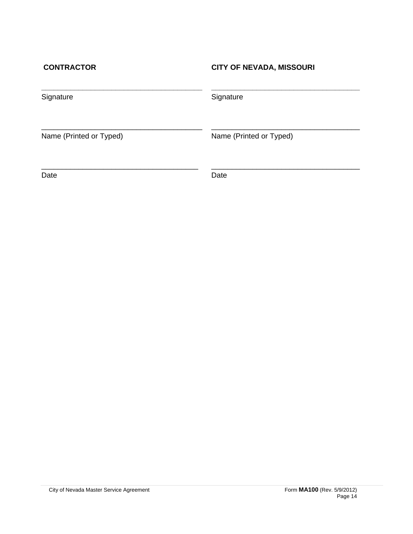| <b>CONTRACTOR</b>       | <b>CITY OF NEVADA, MISSOURI</b> |
|-------------------------|---------------------------------|
| Signature               | Signature                       |
| Name (Printed or Typed) | Name (Printed or Typed)         |
| Date                    | Date                            |